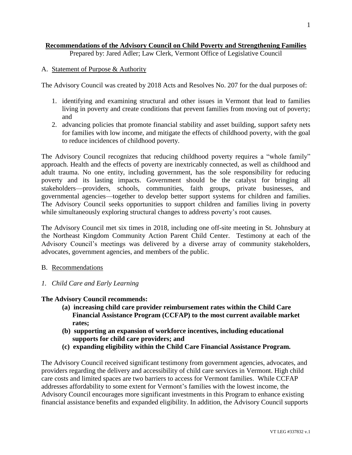# **Recommendations of the Advisory Council on Child Poverty and Strengthening Families**

Prepared by: Jared Adler; Law Clerk, Vermont Office of Legislative Council

# A. Statement of Purpose & Authority

The Advisory Council was created by 2018 Acts and Resolves No. 207 for the dual purposes of:

- 1. identifying and examining structural and other issues in Vermont that lead to families living in poverty and create conditions that prevent families from moving out of poverty; and
- 2. advancing policies that promote financial stability and asset building, support safety nets for families with low income, and mitigate the effects of childhood poverty, with the goal to reduce incidences of childhood poverty.

The Advisory Council recognizes that reducing childhood poverty requires a "whole family" approach. Health and the effects of poverty are inextricably connected, as well as childhood and adult trauma. No one entity, including government, has the sole responsibility for reducing poverty and its lasting impacts. Government should be the catalyst for bringing all stakeholders—providers, schools, communities, faith groups, private businesses, and governmental agencies—together to develop better support systems for children and families. The Advisory Council seeks opportunities to support children and families living in poverty while simultaneously exploring structural changes to address poverty's root causes.

The Advisory Council met six times in 2018, including one off-site meeting in St. Johnsbury at the Northeast Kingdom Community Action Parent Child Center. Testimony at each of the Advisory Council's meetings was delivered by a diverse array of community stakeholders, advocates, government agencies, and members of the public.

## B. Recommendations

*1. Child Care and Early Learning*

## **The Advisory Council recommends:**

- **(a) increasing child care provider reimbursement rates within the Child Care Financial Assistance Program (CCFAP) to the most current available market rates;**
- **(b) supporting an expansion of workforce incentives, including educational supports for child care providers; and**
- **(c) expanding eligibility within the Child Care Financial Assistance Program.**

The Advisory Council received significant testimony from government agencies, advocates, and providers regarding the delivery and accessibility of child care services in Vermont. High child care costs and limited spaces are two barriers to access for Vermont families. While CCFAP addresses affordability to some extent for Vermont's families with the lowest income, the Advisory Council encourages more significant investments in this Program to enhance existing financial assistance benefits and expanded eligibility. In addition, the Advisory Council supports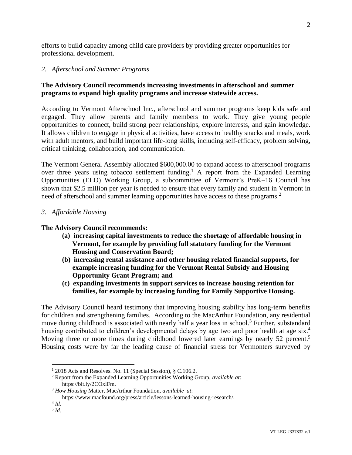efforts to build capacity among child care providers by providing greater opportunities for professional development.

### *2. Afterschool and Summer Programs*

## **The Advisory Council recommends increasing investments in afterschool and summer programs to expand high quality programs and increase statewide access.**

According to Vermont Afterschool Inc., afterschool and summer programs keep kids safe and engaged. They allow parents and family members to work. They give young people opportunities to connect, build strong peer relationships, explore interests, and gain knowledge. It allows children to engage in physical activities, have access to healthy snacks and meals, work with adult mentors, and build important life-long skills, including self-efficacy, problem solving, critical thinking, collaboration, and communication.

The Vermont General Assembly allocated \$600,000.00 to expand access to afterschool programs over three years using tobacco settlement funding.<sup>1</sup> A report from the Expanded Learning Opportunities (ELO) Working Group, a subcommittee of Vermont's PreK–16 Council has shown that \$2.5 million per year is needed to ensure that every family and student in Vermont in need of afterschool and summer learning opportunities have access to these programs.<sup>2</sup>

#### *3. Affordable Housing*

### **The Advisory Council recommends:**

- **(a) increasing capital investments to reduce the shortage of affordable housing in Vermont, for example by providing full statutory funding for the Vermont Housing and Conservation Board;**
- **(b) increasing rental assistance and other housing related financial supports, for example increasing funding for the Vermont Rental Subsidy and Housing Opportunity Grant Program; and**
- **(c) expanding investments in support services to increase housing retention for families, for example by increasing funding for Family Supportive Housing.**

The Advisory Council heard testimony that improving housing stability has long-term benefits for children and strengthening families. According to the MacArthur Foundation, any residential move during childhood is associated with nearly half a year loss in school.<sup>3</sup> Further, substandard housing contributed to children's developmental delays by age two and poor health at age six.<sup>4</sup> Moving three or more times during childhood lowered later earnings by nearly 52 percent.<sup>5</sup> Housing costs were by far the leading cause of financial stress for Vermonters surveyed by

https://www.macfound.org/press/article/lessons-learned-housing-research/.

 $\overline{a}$ 

<sup>&</sup>lt;sup>1</sup> 2018 Acts and Resolves. No. 11 (Special Session), § C.106.2.

<sup>2</sup> Report from the Expanded Learning Opportunities Working Group, *available at*: https://bit.ly/2COxlFm.

<sup>3</sup> *How Housing* Matter, MacArthur Foundation*, available at*:

<sup>4</sup> *Id.*

<sup>5</sup> *Id.*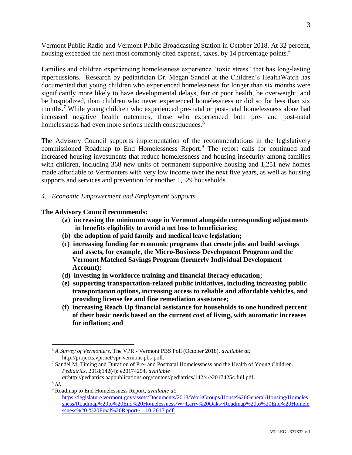Vermont Public Radio and Vermont Public Broadcasting Station in October 2018. At 32 percent, housing exceeded the next most commonly cited expense, taxes, by 14 percentage points.<sup>6</sup>

Families and children experiencing homelessness experience "toxic stress" that has long-lasting repercussions. Research by pediatrician Dr. Megan Sandel at the Children's HealthWatch has documented that young children who experienced homelessness for longer than six months were significantly more likely to have developmental delays, fair or poor health, be overweight, and be hospitalized, than children who never experienced homelessness or did so for less than six months.<sup>7</sup> While young children who experienced pre-natal or post-natal homelessness alone had increased negative health outcomes, those who experienced both pre- and post-natal homelessness had even more serious health consequences.<sup>8</sup>

The Advisory Council supports implementation of the recommendations in the legislatively commissioned Roadmap to End Homelessness Report. <sup>9</sup> The report calls for continued and increased housing investments that reduce homelessness and housing insecurity among families with children, including 368 new units of permanent supportive housing and 1,251 new homes made affordable to Vermonters with very low income over the next five years, as well as housing supports and services and prevention for another 1,529 households.

*4. Economic Empowerment and Employment Supports*

# **The Advisory Council recommends:**

 $\overline{a}$ 

- **(a) increasing the minimum wage in Vermont alongside corresponding adjustments in benefits eligibility to avoid a net loss to beneficiaries;**
- **(b) the adoption of paid family and medical leave legislation;**
- **(c) increasing funding for economic programs that create jobs and build savings and assets, for example, the Micro-Business Development Program and the Vermont Matched Savings Program (formerly Individual Development Account);**
- **(d) investing in workforce training and financial literacy education;**
- **(e) supporting transportation-related public initiatives, including increasing public transportation options, increasing access to reliable and affordable vehicles, and providing license fee and fine remediation assistance;**
- **(f) increasing Reach Up financial assistance for households to one hundred percent of their basic needs based on the current cost of living, with automatic increases for inflation; and**

*at*:http://pediatrics.aappublications.org/content/pediatrics/142/4/e20174254.full.pdf. 8 *Id.*

<sup>6</sup> *A Survey of Vermonters*, The VPR - Vermont PBS Poll (October 2018), *available at:*  http://projects.vpr.net/vpr-vermont-pbs-poll.

<sup>&</sup>lt;sup>7</sup> Sandel M, Timing and Duration of Pre- and Postnatal Homelessness and the Health of Young Children. *Pediatrics*, 2018;142(4): e20174254, *available* 

<sup>9</sup> Roadmap to End Homelessness Report, *available at*: [https://legislature.vermont.gov/assets/Documents/2018/WorkGroups/House%20General/Housing/Homeles](https://legislature.vermont.gov/assets/Documents/2018/WorkGroups/House%20General/Housing/Homelessness/Roadmap%20to%20End%20Homelessness/W~Larry%20Oaks~Roadmap%20to%20End%20Homelessness%20-%20Final%20Report~1-10-2017.pdf) [sness/Roadmap%20to%20End%20Homelessness/W~Larry%20Oaks~Roadmap%20to%20End%20Homele](https://legislature.vermont.gov/assets/Documents/2018/WorkGroups/House%20General/Housing/Homelessness/Roadmap%20to%20End%20Homelessness/W~Larry%20Oaks~Roadmap%20to%20End%20Homelessness%20-%20Final%20Report~1-10-2017.pdf) [ssness%20-%20Final%20Report~1-10-2017.pdf.](https://legislature.vermont.gov/assets/Documents/2018/WorkGroups/House%20General/Housing/Homelessness/Roadmap%20to%20End%20Homelessness/W~Larry%20Oaks~Roadmap%20to%20End%20Homelessness%20-%20Final%20Report~1-10-2017.pdf)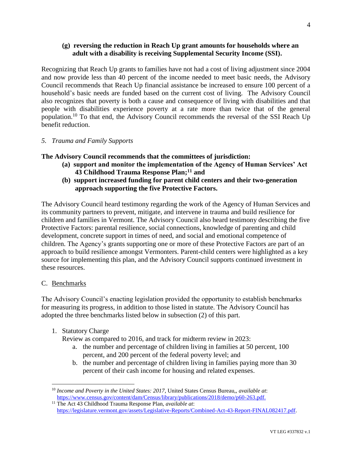## **(g) reversing the reduction in Reach Up grant amounts for households where an adult with a disability is receiving Supplemental Security Income (SSI).**

Recognizing that Reach Up grants to families have not had a cost of living adjustment since 2004 and now provide less than 40 percent of the income needed to meet basic needs, the Advisory Council recommends that Reach Up financial assistance be increased to ensure 100 percent of a household's basic needs are funded based on the current cost of living. The Advisory Council also recognizes that poverty is both a cause and consequence of living with disabilities and that people with disabilities experience poverty at a rate more than twice that of the general population.<sup>10</sup> To that end, the Advisory Council recommends the reversal of the SSI Reach Up benefit reduction.

## *5. Trauma and Family Supports*

## **The Advisory Council recommends that the committees of jurisdiction:**

- **(a) support and monitor the implementation of the Agency of Human Services' Act 43 Childhood Trauma Response Plan; <sup>11</sup> and**
- **(b) support increased funding for parent child centers and their two-generation approach supporting the five Protective Factors.**

The Advisory Council heard testimony regarding the work of the Agency of Human Services and its community partners to prevent, mitigate, and intervene in trauma and build resilience for children and families in Vermont. The Advisory Council also heard testimony describing the five Protective Factors: parental resilience, social connections, knowledge of parenting and child development, concrete support in times of need, and social and emotional competence of children. The Agency's grants supporting one or more of these Protective Factors are part of an approach to build resilience amongst Vermonters. Parent-child centers were highlighted as a key source for implementing this plan, and the Advisory Council supports continued investment in these resources.

#### C. Benchmarks

The Advisory Council's enacting legislation provided the opportunity to establish benchmarks for measuring its progress, in addition to those listed in statute. The Advisory Council has adopted the three benchmarks listed below in subsection (2) of this part.

1. Statutory Charge

Review as compared to 2016, and track for midterm review in 2023:

- a. the number and percentage of children living in families at 50 percent, 100 percent, and 200 percent of the federal poverty level; and
- b. the number and percentage of children living in families paying more than 30 percent of their cash income for housing and related expenses.

 $\overline{a}$ <sup>10</sup> *Income and Poverty in the United States: 2017*, United States Census Bureau,, *available at*: [https://www.census.gov/content/dam/Census/library/publications/2018/demo/p60-263.pdf.](https://www.census.gov/content/dam/Census/library/publications/2018/demo/p60-263.pdf)

<sup>11</sup> The Act 43 Childhood Trauma Response Plan, *available at*: [https://legislature.vermont.gov/assets/Legislative-Reports/Combined-Act-43-Report-FINAL082417.pdf.](https://legislature.vermont.gov/assets/Legislative-Reports/Combined-Act-43-Report-FINAL082417.pdf)